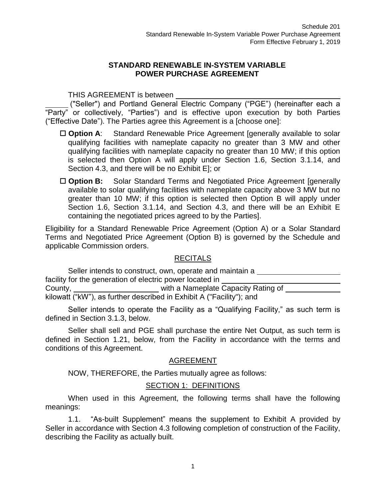#### **STANDARD RENEWABLE IN-SYSTEM VARIABLE POWER PURCHASE AGREEMENT**

THIS AGREEMENT is between

("Seller") and Portland General Electric Company ("PGE") (hereinafter each a "Party" or collectively, "Parties") and is effective upon execution by both Parties ("Effective Date"). The Parties agree this Agreement is a [choose one]:

- □ Option A: Standard Renewable Price Agreement [generally available to solar qualifying facilities with nameplate capacity no greater than 3 MW and other qualifying facilities with nameplate capacity no greater than 10 MW; if this option is selected then Option A will apply under Section 1.6, Section 3.1.14, and Section 4.3, and there will be no Exhibit E]; or
- □ **Option B:** Solar Standard Terms and Negotiated Price Agreement [generally available to solar qualifying facilities with nameplate capacity above 3 MW but no greater than 10 MW; if this option is selected then Option B will apply under Section 1.6, Section 3.1.14, and Section 4.3, and there will be an Exhibit E containing the negotiated prices agreed to by the Parties].

Eligibility for a Standard Renewable Price Agreement (Option A) or a Solar Standard Terms and Negotiated Price Agreement (Option B) is governed by the Schedule and applicable Commission orders.

#### RECITALS

Seller intends to construct, own, operate and maintain a facility for the generation of electric power located in County, with a Nameplate Capacity Rating of kilowatt ("kW"), as further described in Exhibit A ("Facility"); and

Seller intends to operate the Facility as a "Qualifying Facility," as such term is defined in Section 3.1.3, below.

Seller shall sell and PGE shall purchase the entire Net Output, as such term is defined in Section 1.21, below, from the Facility in accordance with the terms and conditions of this Agreement.

### AGREEMENT

NOW, THEREFORE, the Parties mutually agree as follows:

#### SECTION 1: DEFINITIONS

When used in this Agreement, the following terms shall have the following meanings:

1.1. "As-built Supplement" means the supplement to Exhibit A provided by Seller in accordance with Section 4.3 following completion of construction of the Facility, describing the Facility as actually built.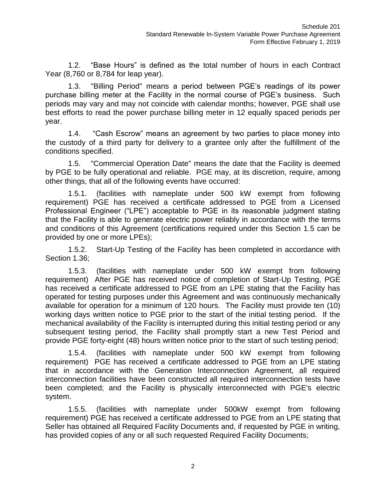1.2. "Base Hours" is defined as the total number of hours in each Contract Year (8,760 or 8,784 for leap year).

1.3. "Billing Period" means a period between PGE's readings of its power purchase billing meter at the Facility in the normal course of PGE's business. Such periods may vary and may not coincide with calendar months; however, PGE shall use best efforts to read the power purchase billing meter in 12 equally spaced periods per year.

1.4. "Cash Escrow" means an agreement by two parties to place money into the custody of a third party for delivery to a grantee only after the fulfillment of the conditions specified.

1.5. "Commercial Operation Date" means the date that the Facility is deemed by PGE to be fully operational and reliable. PGE may, at its discretion, require, among other things, that all of the following events have occurred:

1.5.1. (facilities with nameplate under 500 kW exempt from following requirement) PGE has received a certificate addressed to PGE from a Licensed Professional Engineer ("LPE") acceptable to PGE in its reasonable judgment stating that the Facility is able to generate electric power reliably in accordance with the terms and conditions of this Agreement (certifications required under this Section 1.5 can be provided by one or more LPEs);

1.5.2. Start-Up Testing of the Facility has been completed in accordance with Section 1.36;

1.5.3. (facilities with nameplate under 500 kW exempt from following requirement) After PGE has received notice of completion of Start-Up Testing, PGE has received a certificate addressed to PGE from an LPE stating that the Facility has operated for testing purposes under this Agreement and was continuously mechanically available for operation for a minimum of 120 hours. The Facility must provide ten (10) working days written notice to PGE prior to the start of the initial testing period. If the mechanical availability of the Facility is interrupted during this initial testing period or any subsequent testing period, the Facility shall promptly start a new Test Period and provide PGE forty-eight (48) hours written notice prior to the start of such testing period;

1.5.4. (facilities with nameplate under 500 kW exempt from following requirement) PGE has received a certificate addressed to PGE from an LPE stating that in accordance with the Generation Interconnection Agreement, all required interconnection facilities have been constructed all required interconnection tests have been completed; and the Facility is physically interconnected with PGE's electric system.

1.5.5. (facilities with nameplate under 500kW exempt from following requirement) PGE has received a certificate addressed to PGE from an LPE stating that Seller has obtained all Required Facility Documents and, if requested by PGE in writing, has provided copies of any or all such requested Required Facility Documents;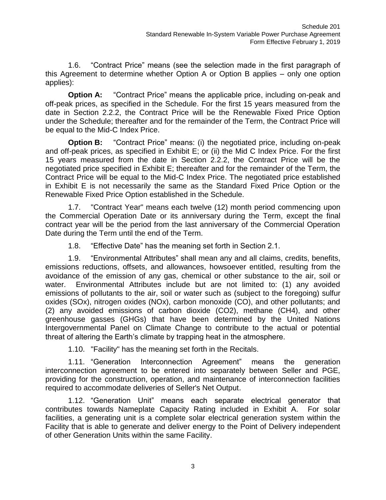1.6. "Contract Price" means (see the selection made in the first paragraph of this Agreement to determine whether Option A or Option B applies – only one option applies):

**Option A:** "Contract Price" means the applicable price, including on-peak and off-peak prices, as specified in the Schedule. For the first 15 years measured from the date in Section 2.2.2, the Contract Price will be the Renewable Fixed Price Option under the Schedule; thereafter and for the remainder of the Term, the Contract Price will be equal to the Mid-C Index Price.

**Option B:** "Contract Price" means: (i) the negotiated price, including on-peak and off-peak prices, as specified in Exhibit E; or (ii) the Mid C Index Price. For the first 15 years measured from the date in Section 2.2.2, the Contract Price will be the negotiated price specified in Exhibit E; thereafter and for the remainder of the Term, the Contract Price will be equal to the Mid-C Index Price. The negotiated price established in Exhibit E is not necessarily the same as the Standard Fixed Price Option or the Renewable Fixed Price Option established in the Schedule.

1.7. "Contract Year" means each twelve (12) month period commencing upon the Commercial Operation Date or its anniversary during the Term, except the final contract year will be the period from the last anniversary of the Commercial Operation Date during the Term until the end of the Term.

1.8. "Effective Date" has the meaning set forth in Section 2.1.

1.9. "Environmental Attributes" shall mean any and all claims, credits, benefits, emissions reductions, offsets, and allowances, howsoever entitled, resulting from the avoidance of the emission of any gas, chemical or other substance to the air, soil or water. Environmental Attributes include but are not limited to: (1) any avoided emissions of pollutants to the air, soil or water such as (subject to the foregoing) sulfur oxides (SOx), nitrogen oxides (NOx), carbon monoxide (CO), and other pollutants; and (2) any avoided emissions of carbon dioxide (CO2), methane (CH4), and other greenhouse gasses (GHGs) that have been determined by the United Nations Intergovernmental Panel on Climate Change to contribute to the actual or potential threat of altering the Earth's climate by trapping heat in the atmosphere.

1.10. "Facility" has the meaning set forth in the Recitals.

1.11. "Generation Interconnection Agreement" means the generation interconnection agreement to be entered into separately between Seller and PGE, providing for the construction, operation, and maintenance of interconnection facilities required to accommodate deliveries of Seller's Net Output.

1.12. "Generation Unit" means each separate electrical generator that contributes towards Nameplate Capacity Rating included in Exhibit A. For solar facilities, a generating unit is a complete solar electrical generation system within the Facility that is able to generate and deliver energy to the Point of Delivery independent of other Generation Units within the same Facility.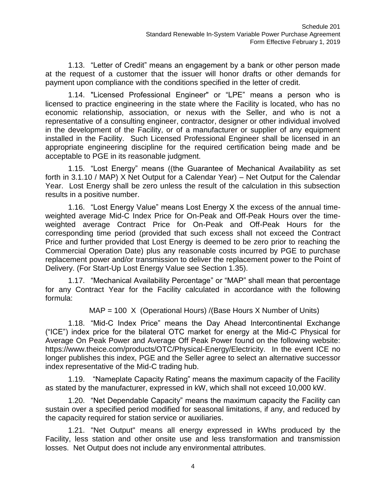1.13. "Letter of Credit" means an engagement by a bank or other person made at the request of a customer that the issuer will honor drafts or other demands for payment upon compliance with the conditions specified in the letter of credit.

1.14. "Licensed Professional Engineer" or "LPE" means a person who is licensed to practice engineering in the state where the Facility is located, who has no economic relationship, association, or nexus with the Seller, and who is not a representative of a consulting engineer, contractor, designer or other individual involved in the development of the Facility, or of a manufacturer or supplier of any equipment installed in the Facility. Such Licensed Professional Engineer shall be licensed in an appropriate engineering discipline for the required certification being made and be acceptable to PGE in its reasonable judgment.

1.15. "Lost Energy" means ((the Guarantee of Mechanical Availability as set forth in 3.1.10 / MAP) X Net Output for a Calendar Year) – Net Output for the Calendar Year. Lost Energy shall be zero unless the result of the calculation in this subsection results in a positive number.

1.16. "Lost Energy Value" means Lost Energy X the excess of the annual timeweighted average Mid-C Index Price for On-Peak and Off-Peak Hours over the timeweighted average Contract Price for On-Peak and Off-Peak Hours for the corresponding time period (provided that such excess shall not exceed the Contract Price and further provided that Lost Energy is deemed to be zero prior to reaching the Commercial Operation Date) plus any reasonable costs incurred by PGE to purchase replacement power and/or transmission to deliver the replacement power to the Point of Delivery. (For Start-Up Lost Energy Value see Section 1.35).

1.17. "Mechanical Availability Percentage" or "MAP" shall mean that percentage for any Contract Year for the Facility calculated in accordance with the following formula:

MAP = 100 X (Operational Hours) /(Base Hours X Number of Units)

1.18. "Mid-C Index Price" means the Day Ahead Intercontinental Exchange ("ICE") index price for the bilateral OTC market for energy at the Mid-C Physical for Average On Peak Power and Average Off Peak Power found on the following website: [https://www.theice.com/products/OTC/Physical-Energy/Electricity.](https://www.theice.com/products/OTC/Physical-Energy/Electricity) In the event ICE no longer publishes this index, PGE and the Seller agree to select an alternative successor index representative of the Mid-C trading hub.

1.19. "Nameplate Capacity Rating" means the maximum capacity of the Facility as stated by the manufacturer, expressed in kW, which shall not exceed 10,000 kW.

1.20. "Net Dependable Capacity" means the maximum capacity the Facility can sustain over a specified period modified for seasonal limitations, if any, and reduced by the capacity required for station service or auxiliaries.

1.21. "Net Output" means all energy expressed in kWhs produced by the Facility, less station and other onsite use and less transformation and transmission losses. Net Output does not include any environmental attributes.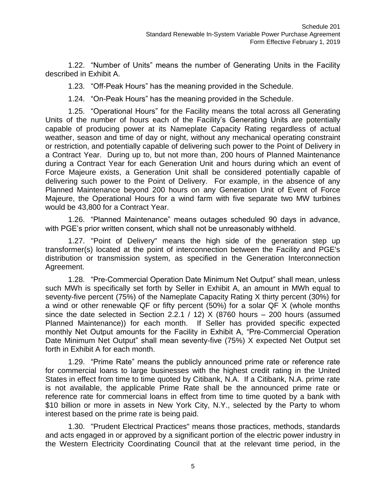1.22. "Number of Units" means the number of Generating Units in the Facility described in Exhibit A.

1.23. "Off-Peak Hours" has the meaning provided in the Schedule.

1.24. "On-Peak Hours" has the meaning provided in the Schedule.

1.25. "Operational Hours" for the Facility means the total across all Generating Units of the number of hours each of the Facility's Generating Units are potentially capable of producing power at its Nameplate Capacity Rating regardless of actual weather, season and time of day or night, without any mechanical operating constraint or restriction, and potentially capable of delivering such power to the Point of Delivery in a Contract Year. During up to, but not more than, 200 hours of Planned Maintenance during a Contract Year for each Generation Unit and hours during which an event of Force Majeure exists, a Generation Unit shall be considered potentially capable of delivering such power to the Point of Delivery. For example, in the absence of any Planned Maintenance beyond 200 hours on any Generation Unit of Event of Force Majeure, the Operational Hours for a wind farm with five separate two MW turbines would be 43,800 for a Contract Year.

1.26. "Planned Maintenance" means outages scheduled 90 days in advance, with PGE's prior written consent, which shall not be unreasonably withheld.

1.27. "Point of Delivery" means the high side of the generation step up transformer(s) located at the point of interconnection between the Facility and PGE's distribution or transmission system, as specified in the Generation Interconnection Agreement.

1.28. "Pre-Commercial Operation Date Minimum Net Output" shall mean, unless such MWh is specifically set forth by Seller in Exhibit A, an amount in MWh equal to seventy-five percent (75%) of the Nameplate Capacity Rating X thirty percent (30%) for a wind or other renewable QF or fifty percent (50%) for a solar QF X (whole months since the date selected in Section 2.2.1 / 12) X (8760 hours – 200 hours (assumed Planned Maintenance)) for each month. If Seller has provided specific expected monthly Net Output amounts for the Facility in Exhibit A, "Pre-Commercial Operation Date Minimum Net Output" shall mean seventy-five (75%) X expected Net Output set forth in Exhibit A for each month.

1.29. "Prime Rate" means the publicly announced prime rate or reference rate for commercial loans to large businesses with the highest credit rating in the United States in effect from time to time quoted by Citibank, N.A. If a Citibank, N.A. prime rate is not available, the applicable Prime Rate shall be the announced prime rate or reference rate for commercial loans in effect from time to time quoted by a bank with \$10 billion or more in assets in New York City, N.Y., selected by the Party to whom interest based on the prime rate is being paid.

1.30. "Prudent Electrical Practices" means those practices, methods, standards and acts engaged in or approved by a significant portion of the electric power industry in the Western Electricity Coordinating Council that at the relevant time period, in the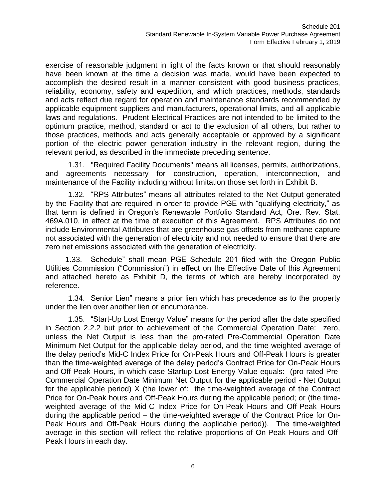exercise of reasonable judgment in light of the facts known or that should reasonably have been known at the time a decision was made, would have been expected to accomplish the desired result in a manner consistent with good business practices, reliability, economy, safety and expedition, and which practices, methods, standards and acts reflect due regard for operation and maintenance standards recommended by applicable equipment suppliers and manufacturers, operational limits, and all applicable laws and regulations. Prudent Electrical Practices are not intended to be limited to the optimum practice, method, standard or act to the exclusion of all others, but rather to those practices, methods and acts generally acceptable or approved by a significant portion of the electric power generation industry in the relevant region, during the relevant period, as described in the immediate preceding sentence.

1.31. "Required Facility Documents" means all licenses, permits, authorizations, and agreements necessary for construction, operation, interconnection, and maintenance of the Facility including without limitation those set forth in Exhibit B.

1.32. "RPS Attributes" means all attributes related to the Net Output generated by the Facility that are required in order to provide PGE with "qualifying electricity," as that term is defined in Oregon's Renewable Portfolio Standard Act, Ore. Rev. Stat. 469A.010, in effect at the time of execution of this Agreement. RPS Attributes do not include Environmental Attributes that are greenhouse gas offsets from methane capture not associated with the generation of electricity and not needed to ensure that there are zero net emissions associated with the generation of electricity.

1.33. Schedule" shall mean PGE Schedule 201 filed with the Oregon Public Utilities Commission ("Commission") in effect on the Effective Date of this Agreement and attached hereto as Exhibit D, the terms of which are hereby incorporated by reference.

1.34. Senior Lien" means a prior lien which has precedence as to the property under the lien over another lien or encumbrance.

1.35. "Start-Up Lost Energy Value" means for the period after the date specified in Section 2.2.2 but prior to achievement of the Commercial Operation Date: zero, unless the Net Output is less than the pro-rated Pre-Commercial Operation Date Minimum Net Output for the applicable delay period, and the time-weighted average of the delay period's Mid-C Index Price for On-Peak Hours and Off-Peak Hours is greater than the time-weighted average of the delay period's Contract Price for On-Peak Hours and Off-Peak Hours, in which case Startup Lost Energy Value equals: (pro-rated Pre-Commercial Operation Date Minimum Net Output for the applicable period - Net Output for the applicable period) X (the lower of: the time-weighted average of the Contract Price for On-Peak hours and Off-Peak Hours during the applicable period; or (the timeweighted average of the Mid-C Index Price for On-Peak Hours and Off-Peak Hours during the applicable period – the time-weighted average of the Contract Price for On-Peak Hours and Off-Peak Hours during the applicable period)). The time-weighted average in this section will reflect the relative proportions of On-Peak Hours and Off-Peak Hours in each day.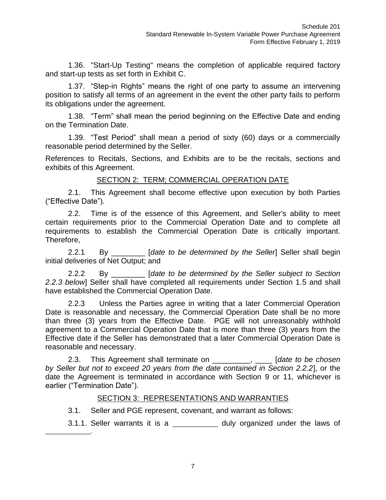1.36. "Start-Up Testing" means the completion of applicable required factory and start-up tests as set forth in Exhibit C.

1.37. "Step-in Rights" means the right of one party to assume an intervening position to satisfy all terms of an agreement in the event the other party fails to perform its obligations under the agreement.

1.38. "Term" shall mean the period beginning on the Effective Date and ending on the Termination Date.

1.39. "Test Period" shall mean a period of sixty (60) days or a commercially reasonable period determined by the Seller.

References to Recitals, Sections, and Exhibits are to be the recitals, sections and exhibits of this Agreement.

### SECTION 2: TERM; COMMERCIAL OPERATION DATE

2.1. This Agreement shall become effective upon execution by both Parties ("Effective Date").

2.2. Time is of the essence of this Agreement, and Seller's ability to meet certain requirements prior to the Commercial Operation Date and to complete all requirements to establish the Commercial Operation Date is critically important. Therefore,

2.2.1 By \_\_\_\_\_\_\_\_ [*date to be determined by the Seller*] Seller shall begin initial deliveries of Net Output; and

2.2.2 By \_\_\_\_\_\_\_\_ [*date to be determined by the Seller subject to Section 2.2.3 below*] Seller shall have completed all requirements under Section 1.5 and shall have established the Commercial Operation Date.

2.2.3 Unless the Parties agree in writing that a later Commercial Operation Date is reasonable and necessary, the Commercial Operation Date shall be no more than three (3) years from the Effective Date. PGE will not unreasonably withhold agreement to a Commercial Operation Date that is more than three (3) years from the Effective date if the Seller has demonstrated that a later Commercial Operation Date is reasonable and necessary.

2.3. This Agreement shall terminate on \_\_\_\_\_\_\_\_\_, \_\_\_\_ [*date to be chosen by Seller but not to exceed 20 years from the date contained in Section 2.2.2*], or the date the Agreement is terminated in accordance with Section 9 or 11, whichever is earlier ("Termination Date").

#### SECTION 3: REPRESENTATIONS AND WARRANTIES

3.1. Seller and PGE represent, covenant, and warrant as follows:

\_\_\_\_\_\_\_\_\_\_\_\_\_.

3.1.1. Seller warrants it is a \_\_\_\_\_\_\_\_\_\_\_\_\_ duly organized under the laws of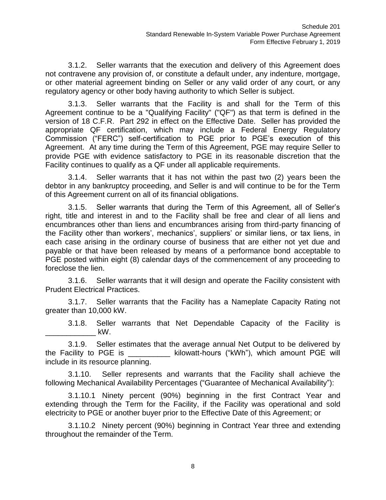3.1.2. Seller warrants that the execution and delivery of this Agreement does not contravene any provision of, or constitute a default under, any indenture, mortgage, or other material agreement binding on Seller or any valid order of any court, or any regulatory agency or other body having authority to which Seller is subject.

3.1.3. Seller warrants that the Facility is and shall for the Term of this Agreement continue to be a "Qualifying Facility" ("QF") as that term is defined in the version of 18 C.F.R. Part 292 in effect on the Effective Date. Seller has provided the appropriate QF certification, which may include a Federal Energy Regulatory Commission ("FERC") self-certification to PGE prior to PGE's execution of this Agreement. At any time during the Term of this Agreement, PGE may require Seller to provide PGE with evidence satisfactory to PGE in its reasonable discretion that the Facility continues to qualify as a QF under all applicable requirements.

3.1.4. Seller warrants that it has not within the past two (2) years been the debtor in any bankruptcy proceeding, and Seller is and will continue to be for the Term of this Agreement current on all of its financial obligations.

3.1.5. Seller warrants that during the Term of this Agreement, all of Seller's right, title and interest in and to the Facility shall be free and clear of all liens and encumbrances other than liens and encumbrances arising from third-party financing of the Facility other than workers', mechanics', suppliers' or similar liens, or tax liens, in each case arising in the ordinary course of business that are either not yet due and payable or that have been released by means of a performance bond acceptable to PGE posted within eight (8) calendar days of the commencement of any proceeding to foreclose the lien.

3.1.6. Seller warrants that it will design and operate the Facility consistent with Prudent Electrical Practices.

3.1.7. Seller warrants that the Facility has a Nameplate Capacity Rating not greater than 10,000 kW.

3.1.8. Seller warrants that Net Dependable Capacity of the Facility is  $\_$  kW.

3.1.9. Seller estimates that the average annual Net Output to be delivered by the Facility to PGE is \_\_\_\_\_\_\_\_\_\_ kilowatt-hours ("kWh"), which amount PGE will include in its resource planning.

3.1.10. Seller represents and warrants that the Facility shall achieve the following Mechanical Availability Percentages ("Guarantee of Mechanical Availability"):

3.1.10.1 Ninety percent (90%) beginning in the first Contract Year and extending through the Term for the Facility, if the Facility was operational and sold electricity to PGE or another buyer prior to the Effective Date of this Agreement; or

3.1.10.2 Ninety percent (90%) beginning in Contract Year three and extending throughout the remainder of the Term.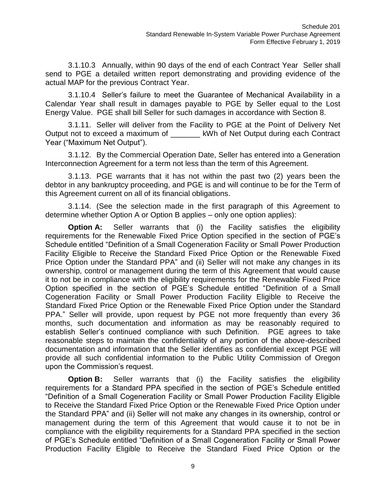3.1.10.3 Annually, within 90 days of the end of each Contract Year Seller shall send to PGE a detailed written report demonstrating and providing evidence of the actual MAP for the previous Contract Year.

3.1.10.4 Seller's failure to meet the Guarantee of Mechanical Availability in a Calendar Year shall result in damages payable to PGE by Seller equal to the Lost Energy Value. PGE shall bill Seller for such damages in accordance with Section 8.

3.1.11. Seller will deliver from the Facility to PGE at the Point of Delivery Net Output not to exceed a maximum of \_\_\_\_\_\_\_ kWh of Net Output during each Contract Year ("Maximum Net Output").

3.1.12. By the Commercial Operation Date, Seller has entered into a Generation Interconnection Agreement for a term not less than the term of this Agreement.

3.1.13. PGE warrants that it has not within the past two (2) years been the debtor in any bankruptcy proceeding, and PGE is and will continue to be for the Term of this Agreement current on all of its financial obligations.

3.1.14. (See the selection made in the first paragraph of this Agreement to determine whether Option A or Option B applies – only one option applies):

**Option A:** Seller warrants that (i) the Facility satisfies the eligibility requirements for the Renewable Fixed Price Option specified in the section of PGE's Schedule entitled "Definition of a Small Cogeneration Facility or Small Power Production Facility Eligible to Receive the Standard Fixed Price Option or the Renewable Fixed Price Option under the Standard PPA" and (ii) Seller will not make any changes in its ownership, control or management during the term of this Agreement that would cause it to not be in compliance with the eligibility requirements for the Renewable Fixed Price Option specified in the section of PGE's Schedule entitled "Definition of a Small Cogeneration Facility or Small Power Production Facility Eligible to Receive the Standard Fixed Price Option or the Renewable Fixed Price Option under the Standard PPA." Seller will provide, upon request by PGE not more frequently than every 36 months, such documentation and information as may be reasonably required to establish Seller's continued compliance with such Definition. PGE agrees to take reasonable steps to maintain the confidentiality of any portion of the above-described documentation and information that the Seller identifies as confidential except PGE will provide all such confidential information to the Public Utility Commission of Oregon upon the Commission's request.

**Option B:** Seller warrants that (i) the Facility satisfies the eligibility requirements for a Standard PPA specified in the section of PGE's Schedule entitled "Definition of a Small Cogeneration Facility or Small Power Production Facility Eligible to Receive the Standard Fixed Price Option or the Renewable Fixed Price Option under the Standard PPA" and (ii) Seller will not make any changes in its ownership, control or management during the term of this Agreement that would cause it to not be in compliance with the eligibility requirements for a Standard PPA specified in the section of PGE's Schedule entitled "Definition of a Small Cogeneration Facility or Small Power Production Facility Eligible to Receive the Standard Fixed Price Option or the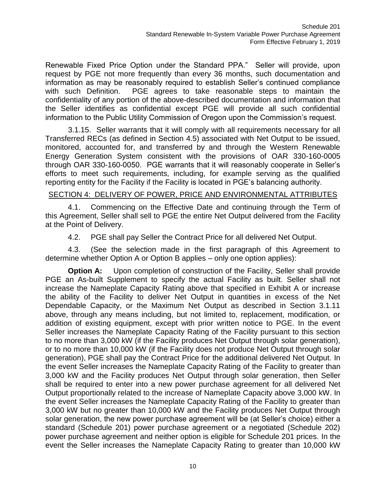Renewable Fixed Price Option under the Standard PPA." Seller will provide, upon request by PGE not more frequently than every 36 months, such documentation and information as may be reasonably required to establish Seller's continued compliance with such Definition. PGE agrees to take reasonable steps to maintain the confidentiality of any portion of the above-described documentation and information that the Seller identifies as confidential except PGE will provide all such confidential information to the Public Utility Commission of Oregon upon the Commission's request.

3.1.15. Seller warrants that it will comply with all requirements necessary for all Transferred RECs (as defined in Section 4.5) associated with Net Output to be issued, monitored, accounted for, and transferred by and through the Western Renewable Energy Generation System consistent with the provisions of OAR 330-160-0005 through OAR 330-160-0050. PGE warrants that it will reasonably cooperate in Seller's efforts to meet such requirements, including, for example serving as the qualified reporting entity for the Facility if the Facility is located in PGE's balancing authority.

#### SECTION 4: DELIVERY OF POWER, PRICE AND ENVIRONMENTAL ATTRIBUTES

4.1. Commencing on the Effective Date and continuing through the Term of this Agreement, Seller shall sell to PGE the entire Net Output delivered from the Facility at the Point of Delivery.

4.2. PGE shall pay Seller the Contract Price for all delivered Net Output.

4.3. (See the selection made in the first paragraph of this Agreement to determine whether Option A or Option B applies – only one option applies):

**Option A:** Upon completion of construction of the Facility, Seller shall provide PGE an As-built Supplement to specify the actual Facility as built. Seller shall not increase the Nameplate Capacity Rating above that specified in Exhibit A or increase the ability of the Facility to deliver Net Output in quantities in excess of the Net Dependable Capacity, or the Maximum Net Output as described in Section 3.1.11 above, through any means including, but not limited to, replacement, modification, or addition of existing equipment, except with prior written notice to PGE. In the event Seller increases the Nameplate Capacity Rating of the Facility pursuant to this section to no more than 3,000 kW (if the Facility produces Net Output through solar generation), or to no more than 10,000 kW (if the Facility does not produce Net Output through solar generation), PGE shall pay the Contract Price for the additional delivered Net Output. In the event Seller increases the Nameplate Capacity Rating of the Facility to greater than 3,000 kW and the Facility produces Net Output through solar generation, then Seller shall be required to enter into a new power purchase agreement for all delivered Net Output proportionally related to the increase of Nameplate Capacity above 3,000 kW. In the event Seller increases the Nameplate Capacity Rating of the Facility to greater than 3,000 kW but no greater than 10,000 kW and the Facility produces Net Output through solar generation, the new power purchase agreement will be (at Seller's choice) either a standard (Schedule 201) power purchase agreement or a negotiated (Schedule 202) power purchase agreement and neither option is eligible for Schedule 201 prices. In the event the Seller increases the Nameplate Capacity Rating to greater than 10,000 kW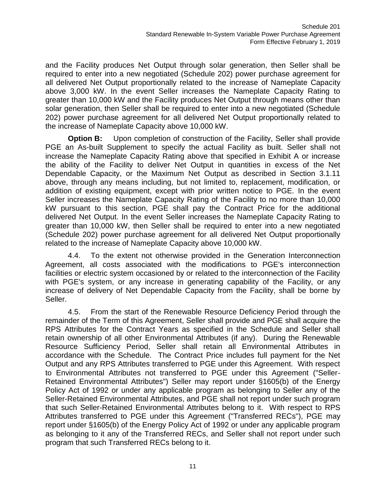and the Facility produces Net Output through solar generation, then Seller shall be required to enter into a new negotiated (Schedule 202) power purchase agreement for all delivered Net Output proportionally related to the increase of Nameplate Capacity above 3,000 kW. In the event Seller increases the Nameplate Capacity Rating to greater than 10,000 kW and the Facility produces Net Output through means other than solar generation, then Seller shall be required to enter into a new negotiated (Schedule 202) power purchase agreement for all delivered Net Output proportionally related to the increase of Nameplate Capacity above 10,000 kW.

**Option B:** Upon completion of construction of the Facility, Seller shall provide PGE an As-built Supplement to specify the actual Facility as built. Seller shall not increase the Nameplate Capacity Rating above that specified in Exhibit A or increase the ability of the Facility to deliver Net Output in quantities in excess of the Net Dependable Capacity, or the Maximum Net Output as described in Section 3.1.11 above, through any means including, but not limited to, replacement, modification, or addition of existing equipment, except with prior written notice to PGE. In the event Seller increases the Nameplate Capacity Rating of the Facility to no more than 10,000 kW pursuant to this section, PGE shall pay the Contract Price for the additional delivered Net Output. In the event Seller increases the Nameplate Capacity Rating to greater than 10,000 kW, then Seller shall be required to enter into a new negotiated (Schedule 202) power purchase agreement for all delivered Net Output proportionally related to the increase of Nameplate Capacity above 10,000 kW.

4.4. To the extent not otherwise provided in the Generation Interconnection Agreement, all costs associated with the modifications to PGE's interconnection facilities or electric system occasioned by or related to the interconnection of the Facility with PGE's system, or any increase in generating capability of the Facility, or any increase of delivery of Net Dependable Capacity from the Facility, shall be borne by Seller.

4.5. From the start of the Renewable Resource Deficiency Period through the remainder of the Term of this Agreement, Seller shall provide and PGE shall acquire the RPS Attributes for the Contract Years as specified in the Schedule and Seller shall retain ownership of all other Environmental Attributes (if any). During the Renewable Resource Sufficiency Period, Seller shall retain all Environmental Attributes in accordance with the Schedule. The Contract Price includes full payment for the Net Output and any RPS Attributes transferred to PGE under this Agreement. With respect to Environmental Attributes not transferred to PGE under this Agreement ("Seller-Retained Environmental Attributes") Seller may report under §1605(b) of the Energy Policy Act of 1992 or under any applicable program as belonging to Seller any of the Seller-Retained Environmental Attributes, and PGE shall not report under such program that such Seller-Retained Environmental Attributes belong to it. With respect to RPS Attributes transferred to PGE under this Agreement ("Transferred RECs"), PGE may report under §1605(b) of the Energy Policy Act of 1992 or under any applicable program as belonging to it any of the Transferred RECs, and Seller shall not report under such program that such Transferred RECs belong to it.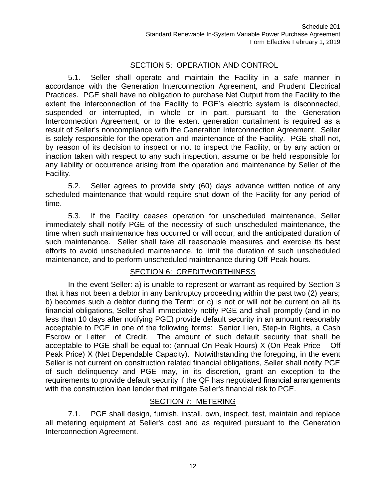## SECTION 5: OPERATION AND CONTROL

5.1. Seller shall operate and maintain the Facility in a safe manner in accordance with the Generation Interconnection Agreement, and Prudent Electrical Practices. PGE shall have no obligation to purchase Net Output from the Facility to the extent the interconnection of the Facility to PGE's electric system is disconnected, suspended or interrupted, in whole or in part, pursuant to the Generation Interconnection Agreement, or to the extent generation curtailment is required as a result of Seller's noncompliance with the Generation Interconnection Agreement. Seller is solely responsible for the operation and maintenance of the Facility. PGE shall not, by reason of its decision to inspect or not to inspect the Facility, or by any action or inaction taken with respect to any such inspection, assume or be held responsible for any liability or occurrence arising from the operation and maintenance by Seller of the Facility.

5.2. Seller agrees to provide sixty (60) days advance written notice of any scheduled maintenance that would require shut down of the Facility for any period of time.

5.3. If the Facility ceases operation for unscheduled maintenance, Seller immediately shall notify PGE of the necessity of such unscheduled maintenance, the time when such maintenance has occurred or will occur, and the anticipated duration of such maintenance. Seller shall take all reasonable measures and exercise its best efforts to avoid unscheduled maintenance, to limit the duration of such unscheduled maintenance, and to perform unscheduled maintenance during Off-Peak hours.

#### SECTION 6: CREDITWORTHINESS

In the event Seller: a) is unable to represent or warrant as required by Section 3 that it has not been a debtor in any bankruptcy proceeding within the past two (2) years; b) becomes such a debtor during the Term; or c) is not or will not be current on all its financial obligations, Seller shall immediately notify PGE and shall promptly (and in no less than 10 days after notifying PGE) provide default security in an amount reasonably acceptable to PGE in one of the following forms: Senior Lien, Step-in Rights, a Cash Escrow or Letter of Credit. The amount of such default security that shall be acceptable to PGE shall be equal to: (annual On Peak Hours) X (On Peak Price – Off Peak Price) X (Net Dependable Capacity). Notwithstanding the foregoing, in the event Seller is not current on construction related financial obligations, Seller shall notify PGE of such delinquency and PGE may, in its discretion, grant an exception to the requirements to provide default security if the QF has negotiated financial arrangements with the construction loan lender that mitigate Seller's financial risk to PGE.

#### SECTION 7: METERING

7.1. PGE shall design, furnish, install, own, inspect, test, maintain and replace all metering equipment at Seller's cost and as required pursuant to the Generation Interconnection Agreement.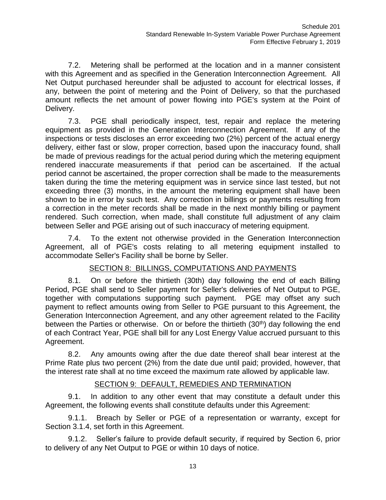7.2. Metering shall be performed at the location and in a manner consistent with this Agreement and as specified in the Generation Interconnection Agreement. All Net Output purchased hereunder shall be adjusted to account for electrical losses, if any, between the point of metering and the Point of Delivery, so that the purchased amount reflects the net amount of power flowing into PGE's system at the Point of Delivery.

7.3. PGE shall periodically inspect, test, repair and replace the metering equipment as provided in the Generation Interconnection Agreement. If any of the inspections or tests discloses an error exceeding two (2%) percent of the actual energy delivery, either fast or slow, proper correction, based upon the inaccuracy found, shall be made of previous readings for the actual period during which the metering equipment rendered inaccurate measurements if that period can be ascertained. If the actual period cannot be ascertained, the proper correction shall be made to the measurements taken during the time the metering equipment was in service since last tested, but not exceeding three (3) months, in the amount the metering equipment shall have been shown to be in error by such test. Any correction in billings or payments resulting from a correction in the meter records shall be made in the next monthly billing or payment rendered. Such correction, when made, shall constitute full adjustment of any claim between Seller and PGE arising out of such inaccuracy of metering equipment.

7.4. To the extent not otherwise provided in the Generation Interconnection Agreement, all of PGE's costs relating to all metering equipment installed to accommodate Seller's Facility shall be borne by Seller.

### SECTION 8: BILLINGS, COMPUTATIONS AND PAYMENTS

8.1. On or before the thirtieth (30th) day following the end of each Billing Period, PGE shall send to Seller payment for Seller's deliveries of Net Output to PGE, together with computations supporting such payment. PGE may offset any such payment to reflect amounts owing from Seller to PGE pursuant to this Agreement, the Generation Interconnection Agreement, and any other agreement related to the Facility between the Parties or otherwise. On or before the thirtieth  $(30<sup>th</sup>)$  day following the end of each Contract Year, PGE shall bill for any Lost Energy Value accrued pursuant to this Agreement.

8.2. Any amounts owing after the due date thereof shall bear interest at the Prime Rate plus two percent (2%) from the date due until paid; provided, however, that the interest rate shall at no time exceed the maximum rate allowed by applicable law.

#### SECTION 9: DEFAULT, REMEDIES AND TERMINATION

9.1. In addition to any other event that may constitute a default under this Agreement, the following events shall constitute defaults under this Agreement:

9.1.1. Breach by Seller or PGE of a representation or warranty, except for Section 3.1.4, set forth in this Agreement.

9.1.2. Seller's failure to provide default security, if required by Section 6, prior to delivery of any Net Output to PGE or within 10 days of notice.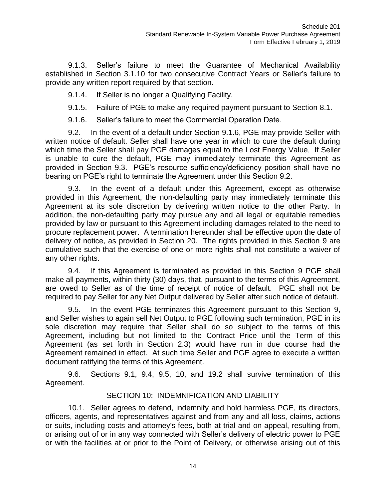9.1.3. Seller's failure to meet the Guarantee of Mechanical Availability established in Section 3.1.10 for two consecutive Contract Years or Seller's failure to provide any written report required by that section.

9.1.4. If Seller is no longer a Qualifying Facility.

9.1.5. Failure of PGE to make any required payment pursuant to Section 8.1.

9.1.6. Seller's failure to meet the Commercial Operation Date.

9.2. In the event of a default under Section 9.1.6, PGE may provide Seller with written notice of default. Seller shall have one year in which to cure the default during which time the Seller shall pay PGE damages equal to the Lost Energy Value. If Seller is unable to cure the default, PGE may immediately terminate this Agreement as provided in Section 9.3. PGE's resource sufficiency/deficiency position shall have no bearing on PGE's right to terminate the Agreement under this Section 9.2.

9.3. In the event of a default under this Agreement, except as otherwise provided in this Agreement, the non-defaulting party may immediately terminate this Agreement at its sole discretion by delivering written notice to the other Party. In addition, the non-defaulting party may pursue any and all legal or equitable remedies provided by law or pursuant to this Agreement including damages related to the need to procure replacement power. A termination hereunder shall be effective upon the date of delivery of notice, as provided in Section 20. The rights provided in this Section 9 are cumulative such that the exercise of one or more rights shall not constitute a waiver of any other rights.

9.4. If this Agreement is terminated as provided in this Section 9 PGE shall make all payments, within thirty (30) days, that, pursuant to the terms of this Agreement, are owed to Seller as of the time of receipt of notice of default. PGE shall not be required to pay Seller for any Net Output delivered by Seller after such notice of default.

9.5. In the event PGE terminates this Agreement pursuant to this Section 9, and Seller wishes to again sell Net Output to PGE following such termination, PGE in its sole discretion may require that Seller shall do so subject to the terms of this Agreement, including but not limited to the Contract Price until the Term of this Agreement (as set forth in Section 2.3) would have run in due course had the Agreement remained in effect. At such time Seller and PGE agree to execute a written document ratifying the terms of this Agreement.

9.6. Sections 9.1, 9.4, 9.5, 10, and 19.2 shall survive termination of this Agreement.

#### SECTION 10: INDEMNIFICATION AND LIABILITY

10.1. Seller agrees to defend, indemnify and hold harmless PGE, its directors, officers, agents, and representatives against and from any and all loss, claims, actions or suits, including costs and attorney's fees, both at trial and on appeal, resulting from, or arising out of or in any way connected with Seller's delivery of electric power to PGE or with the facilities at or prior to the Point of Delivery, or otherwise arising out of this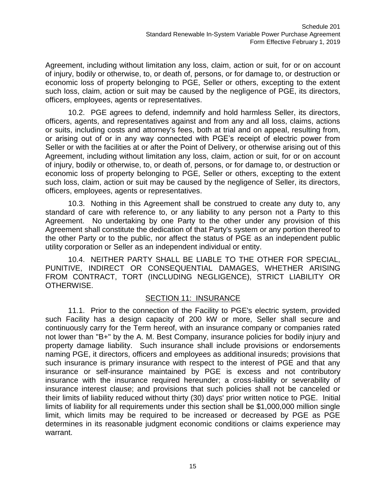Agreement, including without limitation any loss, claim, action or suit, for or on account of injury, bodily or otherwise, to, or death of, persons, or for damage to, or destruction or economic loss of property belonging to PGE, Seller or others, excepting to the extent such loss, claim, action or suit may be caused by the negligence of PGE, its directors, officers, employees, agents or representatives.

10.2. PGE agrees to defend, indemnify and hold harmless Seller, its directors, officers, agents, and representatives against and from any and all loss, claims, actions or suits, including costs and attorney's fees, both at trial and on appeal, resulting from, or arising out of or in any way connected with PGE's receipt of electric power from Seller or with the facilities at or after the Point of Delivery, or otherwise arising out of this Agreement, including without limitation any loss, claim, action or suit, for or on account of injury, bodily or otherwise, to, or death of, persons, or for damage to, or destruction or economic loss of property belonging to PGE, Seller or others, excepting to the extent such loss, claim, action or suit may be caused by the negligence of Seller, its directors, officers, employees, agents or representatives.

10.3. Nothing in this Agreement shall be construed to create any duty to, any standard of care with reference to, or any liability to any person not a Party to this Agreement. No undertaking by one Party to the other under any provision of this Agreement shall constitute the dedication of that Party's system or any portion thereof to the other Party or to the public, nor affect the status of PGE as an independent public utility corporation or Seller as an independent individual or entity.

10.4. NEITHER PARTY SHALL BE LIABLE TO THE OTHER FOR SPECIAL, PUNITIVE, INDIRECT OR CONSEQUENTIAL DAMAGES, WHETHER ARISING FROM CONTRACT, TORT (INCLUDING NEGLIGENCE), STRICT LIABILITY OR OTHERWISE.

#### SECTION 11: INSURANCE

11.1. Prior to the connection of the Facility to PGE's electric system, provided such Facility has a design capacity of 200 kW or more, Seller shall secure and continuously carry for the Term hereof, with an insurance company or companies rated not lower than "B+" by the A. M. Best Company, insurance policies for bodily injury and property damage liability. Such insurance shall include provisions or endorsements naming PGE, it directors, officers and employees as additional insureds; provisions that such insurance is primary insurance with respect to the interest of PGE and that any insurance or self-insurance maintained by PGE is excess and not contributory insurance with the insurance required hereunder; a cross-liability or severability of insurance interest clause; and provisions that such policies shall not be canceled or their limits of liability reduced without thirty (30) days' prior written notice to PGE. Initial limits of liability for all requirements under this section shall be \$1,000,000 million single limit, which limits may be required to be increased or decreased by PGE as PGE determines in its reasonable judgment economic conditions or claims experience may warrant.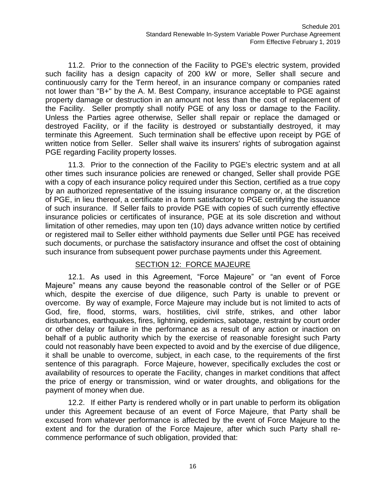11.2. Prior to the connection of the Facility to PGE's electric system, provided such facility has a design capacity of 200 kW or more, Seller shall secure and continuously carry for the Term hereof, in an insurance company or companies rated not lower than "B+" by the A. M. Best Company, insurance acceptable to PGE against property damage or destruction in an amount not less than the cost of replacement of the Facility. Seller promptly shall notify PGE of any loss or damage to the Facility. Unless the Parties agree otherwise, Seller shall repair or replace the damaged or destroyed Facility, or if the facility is destroyed or substantially destroyed, it may terminate this Agreement. Such termination shall be effective upon receipt by PGE of written notice from Seller. Seller shall waive its insurers' rights of subrogation against PGE regarding Facility property losses.

11.3. Prior to the connection of the Facility to PGE's electric system and at all other times such insurance policies are renewed or changed, Seller shall provide PGE with a copy of each insurance policy required under this Section, certified as a true copy by an authorized representative of the issuing insurance company or, at the discretion of PGE, in lieu thereof, a certificate in a form satisfactory to PGE certifying the issuance of such insurance. If Seller fails to provide PGE with copies of such currently effective insurance policies or certificates of insurance, PGE at its sole discretion and without limitation of other remedies, may upon ten (10) days advance written notice by certified or registered mail to Seller either withhold payments due Seller until PGE has received such documents, or purchase the satisfactory insurance and offset the cost of obtaining such insurance from subsequent power purchase payments under this Agreement.

#### SECTION 12: FORCE MAJEURE

12.1. As used in this Agreement, "Force Majeure" or "an event of Force Majeure" means any cause beyond the reasonable control of the Seller or of PGE which, despite the exercise of due diligence, such Party is unable to prevent or overcome. By way of example, Force Majeure may include but is not limited to acts of God, fire, flood, storms, wars, hostilities, civil strife, strikes, and other labor disturbances, earthquakes, fires, lightning, epidemics, sabotage, restraint by court order or other delay or failure in the performance as a result of any action or inaction on behalf of a public authority which by the exercise of reasonable foresight such Party could not reasonably have been expected to avoid and by the exercise of due diligence, it shall be unable to overcome, subject, in each case, to the requirements of the first sentence of this paragraph. Force Majeure, however, specifically excludes the cost or availability of resources to operate the Facility, changes in market conditions that affect the price of energy or transmission, wind or water droughts, and obligations for the payment of money when due.

12.2. If either Party is rendered wholly or in part unable to perform its obligation under this Agreement because of an event of Force Majeure, that Party shall be excused from whatever performance is affected by the event of Force Majeure to the extent and for the duration of the Force Majeure, after which such Party shall recommence performance of such obligation, provided that: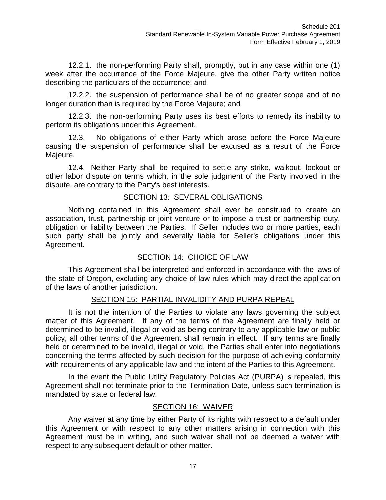12.2.1. the non-performing Party shall, promptly, but in any case within one (1) week after the occurrence of the Force Majeure, give the other Party written notice describing the particulars of the occurrence; and

12.2.2. the suspension of performance shall be of no greater scope and of no longer duration than is required by the Force Majeure; and

12.2.3. the non-performing Party uses its best efforts to remedy its inability to perform its obligations under this Agreement.

12.3. No obligations of either Party which arose before the Force Majeure causing the suspension of performance shall be excused as a result of the Force Majeure.

12.4. Neither Party shall be required to settle any strike, walkout, lockout or other labor dispute on terms which, in the sole judgment of the Party involved in the dispute, are contrary to the Party's best interests.

### SECTION 13: SEVERAL OBLIGATIONS

Nothing contained in this Agreement shall ever be construed to create an association, trust, partnership or joint venture or to impose a trust or partnership duty, obligation or liability between the Parties. If Seller includes two or more parties, each such party shall be jointly and severally liable for Seller's obligations under this Agreement.

### SECTION 14: CHOICE OF LAW

This Agreement shall be interpreted and enforced in accordance with the laws of the state of Oregon, excluding any choice of law rules which may direct the application of the laws of another jurisdiction.

### SECTION 15: PARTIAL INVALIDITY AND PURPA REPEAL

It is not the intention of the Parties to violate any laws governing the subject matter of this Agreement. If any of the terms of the Agreement are finally held or determined to be invalid, illegal or void as being contrary to any applicable law or public policy, all other terms of the Agreement shall remain in effect. If any terms are finally held or determined to be invalid, illegal or void, the Parties shall enter into negotiations concerning the terms affected by such decision for the purpose of achieving conformity with requirements of any applicable law and the intent of the Parties to this Agreement.

In the event the Public Utility Regulatory Policies Act (PURPA) is repealed, this Agreement shall not terminate prior to the Termination Date, unless such termination is mandated by state or federal law.

#### SECTION 16: WAIVER

Any waiver at any time by either Party of its rights with respect to a default under this Agreement or with respect to any other matters arising in connection with this Agreement must be in writing, and such waiver shall not be deemed a waiver with respect to any subsequent default or other matter.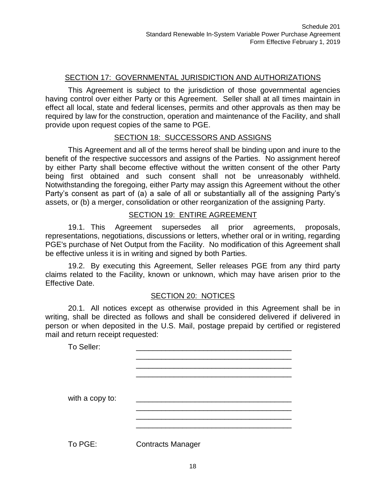### SECTION 17: GOVERNMENTAL JURISDICTION AND AUTHORIZATIONS

This Agreement is subject to the jurisdiction of those governmental agencies having control over either Party or this Agreement. Seller shall at all times maintain in effect all local, state and federal licenses, permits and other approvals as then may be required by law for the construction, operation and maintenance of the Facility, and shall provide upon request copies of the same to PGE.

#### SECTION 18: SUCCESSORS AND ASSIGNS

This Agreement and all of the terms hereof shall be binding upon and inure to the benefit of the respective successors and assigns of the Parties. No assignment hereof by either Party shall become effective without the written consent of the other Party being first obtained and such consent shall not be unreasonably withheld. Notwithstanding the foregoing, either Party may assign this Agreement without the other Party's consent as part of (a) a sale of all or substantially all of the assigning Party's assets, or (b) a merger, consolidation or other reorganization of the assigning Party.

#### SECTION 19: ENTIRE AGREEMENT

19.1. This Agreement supersedes all prior agreements, proposals, representations, negotiations, discussions or letters, whether oral or in writing, regarding PGE's purchase of Net Output from the Facility. No modification of this Agreement shall be effective unless it is in writing and signed by both Parties.

19.2. By executing this Agreement, Seller releases PGE from any third party claims related to the Facility, known or unknown, which may have arisen prior to the Effective Date.

#### SECTION 20: NOTICES

20.1. All notices except as otherwise provided in this Agreement shall be in writing, shall be directed as follows and shall be considered delivered if delivered in person or when deposited in the U.S. Mail, postage prepaid by certified or registered mail and return receipt requested:

| To Seller:      |                          |  |
|-----------------|--------------------------|--|
|                 |                          |  |
|                 |                          |  |
|                 |                          |  |
| with a copy to: |                          |  |
|                 |                          |  |
|                 |                          |  |
|                 |                          |  |
| To PGE:         | <b>Contracts Manager</b> |  |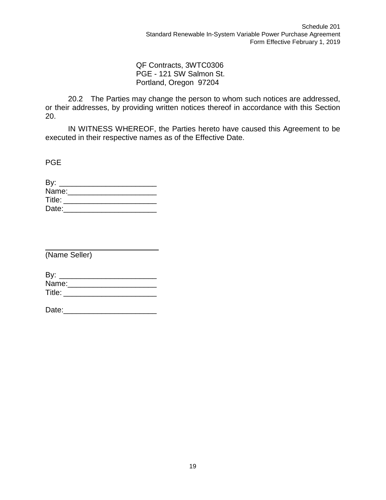QF Contracts, 3WTC0306 PGE - 121 SW Salmon St. Portland, Oregon 97204

20.2 The Parties may change the person to whom such notices are addressed, or their addresses, by providing written notices thereof in accordance with this Section 20.

IN WITNESS WHEREOF, the Parties hereto have caused this Agreement to be executed in their respective names as of the Effective Date.

PGE

| By:    |  |  |
|--------|--|--|
| Name:  |  |  |
| Title: |  |  |
| Date:  |  |  |

(Name Seller)

| By:    |  |  |
|--------|--|--|
| Name:  |  |  |
| Title: |  |  |

| Date: |  |
|-------|--|
|       |  |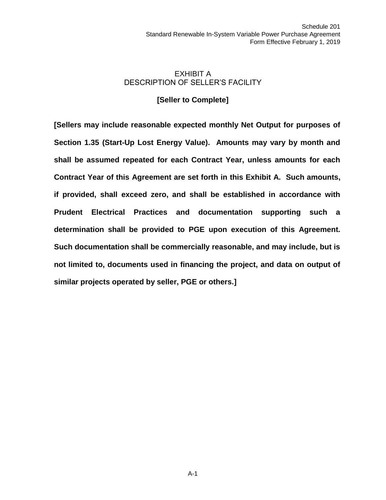### EXHIBIT A DESCRIPTION OF SELLER'S FACILITY

### **[Seller to Complete]**

**[Sellers may include reasonable expected monthly Net Output for purposes of Section 1.35 (Start-Up Lost Energy Value). Amounts may vary by month and shall be assumed repeated for each Contract Year, unless amounts for each Contract Year of this Agreement are set forth in this Exhibit A. Such amounts, if provided, shall exceed zero, and shall be established in accordance with Prudent Electrical Practices and documentation supporting such a determination shall be provided to PGE upon execution of this Agreement. Such documentation shall be commercially reasonable, and may include, but is not limited to, documents used in financing the project, and data on output of similar projects operated by seller, PGE or others.]**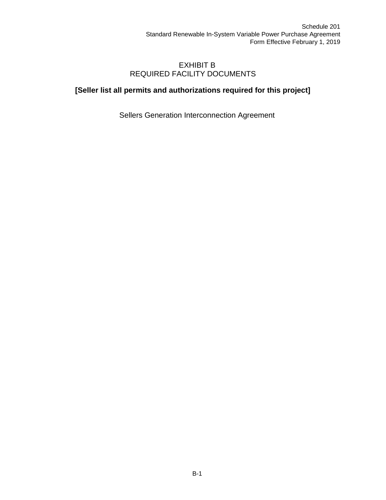### EXHIBIT B REQUIRED FACILITY DOCUMENTS

## **[Seller list all permits and authorizations required for this project]**

Sellers Generation Interconnection Agreement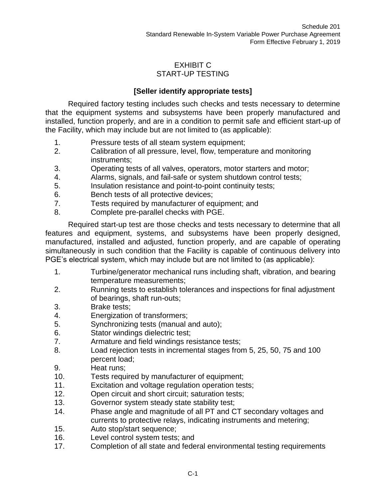### EXHIBIT C START-UP TESTING

## **[Seller identify appropriate tests]**

Required factory testing includes such checks and tests necessary to determine that the equipment systems and subsystems have been properly manufactured and installed, function properly, and are in a condition to permit safe and efficient start-up of the Facility, which may include but are not limited to (as applicable):

- 1. Pressure tests of all steam system equipment;
- 2. Calibration of all pressure, level, flow, temperature and monitoring instruments;
- 3. Operating tests of all valves, operators, motor starters and motor;
- 4. Alarms, signals, and fail-safe or system shutdown control tests;
- 5. Insulation resistance and point-to-point continuity tests;
- 6. Bench tests of all protective devices;
- 7. Tests required by manufacturer of equipment; and
- 8. Complete pre-parallel checks with PGE.

Required start-up test are those checks and tests necessary to determine that all features and equipment, systems, and subsystems have been properly designed, manufactured, installed and adjusted, function properly, and are capable of operating simultaneously in such condition that the Facility is capable of continuous delivery into PGE's electrical system, which may include but are not limited to (as applicable):

- 1. Turbine/generator mechanical runs including shaft, vibration, and bearing temperature measurements;
- 2. Running tests to establish tolerances and inspections for final adjustment of bearings, shaft run-outs;
- 3. Brake tests;
- 4. Energization of transformers;
- 5. Synchronizing tests (manual and auto);
- 6. Stator windings dielectric test;
- 7. Armature and field windings resistance tests;
- 8. Load rejection tests in incremental stages from 5, 25, 50, 75 and 100 percent load;
- 9. Heat runs;
- 10. Tests required by manufacturer of equipment;
- 11. Excitation and voltage regulation operation tests;
- 12. Open circuit and short circuit; saturation tests;
- 13. Governor system steady state stability test;
- 14. Phase angle and magnitude of all PT and CT secondary voltages and currents to protective relays, indicating instruments and metering;
- 15. Auto stop/start sequence;
- 16. Level control system tests; and
- 17. Completion of all state and federal environmental testing requirements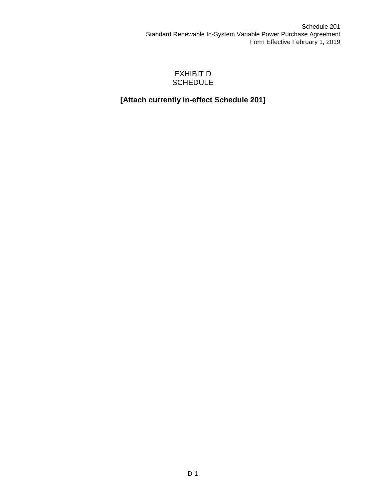### EXHIBIT D **SCHEDULE**

# **[Attach currently in-effect Schedule 201]**